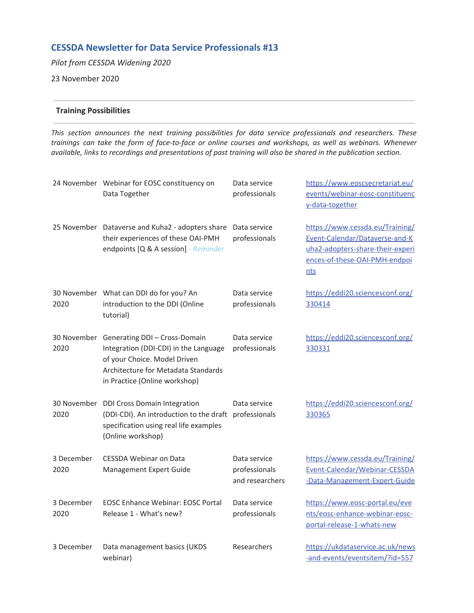# **CESSDA Newsletter for Data Service Professionals #13**

*Pilot from CESSDA Widening 2020*

23 November 2020

## **Training Possibilities**

*This section announces the next training possibilities for data service professionals and researchers. These trainings can take the form of face-to-face or online courses and workshops, as well as webinars. Whenever available, links to recordings and presentations of past training will also be shared in the publication section.* 

|                     | 24 November Webinar for EOSC constituency on<br>Data Together                                                                                                                  | Data service<br>professionals                    | https://www.eoscsecretariat.eu/<br>events/webinar-eosc-constituenc<br>y-data-together                                                                     |
|---------------------|--------------------------------------------------------------------------------------------------------------------------------------------------------------------------------|--------------------------------------------------|-----------------------------------------------------------------------------------------------------------------------------------------------------------|
|                     | 25 November Dataverse and Kuha2 - adopters share Data service<br>their experiences of these OAI-PMH<br>endpoints [Q & A session] - Reminder                                    | professionals                                    | https://www.cessda.eu/Training/<br>Event-Calendar/Dataverse-and-K<br>uha2-adopters-share-their-experi<br>ences-of-these-OAI-PMH-endpoi<br>n <sub>ts</sub> |
| 2020                | 30 November What can DDI do for you? An<br>introduction to the DDI (Online<br>tutorial)                                                                                        | Data service<br>professionals                    | https://eddi20.sciencesconf.org/<br>330414                                                                                                                |
| 30 November<br>2020 | Generating DDI - Cross-Domain<br>Integration (DDI-CDI) in the Language<br>of your Choice. Model Driven<br>Architecture for Metadata Standards<br>in Practice (Online workshop) | Data service<br>professionals                    | https://eddi20.sciencesconf.org/<br>330331                                                                                                                |
| 30 November<br>2020 | <b>DDI Cross Domain Integration</b><br>(DDI-CDI). An introduction to the draft professionals<br>specification using real life examples<br>(Online workshop)                    | Data service                                     | https://eddi20.sciencesconf.org/<br>330365                                                                                                                |
| 3 December<br>2020  | <b>CESSDA Webinar on Data</b><br>Management Expert Guide                                                                                                                       | Data service<br>professionals<br>and researchers | https://www.cessda.eu/Training/<br>Event-Calendar/Webinar-CESSDA<br>-Data-Management-Expert-Guide                                                         |
| 3 December<br>2020  | <b>EOSC Enhance Webinar: EOSC Portal</b><br>Release 1 - What's new?                                                                                                            | Data service<br>professionals                    | https://www.eosc-portal.eu/eve<br>nts/eosc-enhance-webinar-eosc-<br>portal-release-1-whats-new                                                            |
| 3 December          | Data management basics (UKDS<br>webinar)                                                                                                                                       | Researchers                                      | https://ukdataservice.ac.uk/news<br>-and-events/eventsitem/?id=557                                                                                        |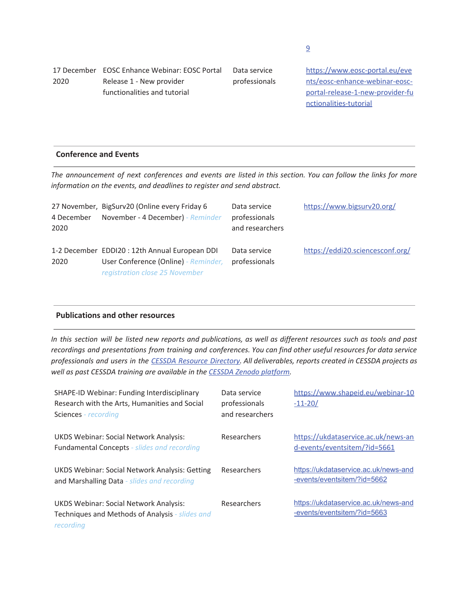#### **Conference and Events**

*The announcement of next conferences and events are listed in this section. You can follow the links for more information on the events, and deadlines to register and send abstract.* 

| 4 December<br>2020 | 27 November, BigSurv20 (Online every Friday 6<br>November - 4 December) - Reminder                                      | Data service<br>professionals<br>and researchers | https://www.bigsurv20.org/       |
|--------------------|-------------------------------------------------------------------------------------------------------------------------|--------------------------------------------------|----------------------------------|
| 2020               | 1-2 December EDDI20: 12th Annual European DDI<br>User Conference (Online) - Reminder,<br>registration close 25 November | Data service<br>professionals                    | https://eddi20.sciencesconf.org/ |

## **Publications and other resources**

*In this section will be listed new reports and publications, as well as different resources such as tools and past recordings and presentations from training and conferences. You can find other useful resources for data service professionals and users in the CESSDA Resource Directory . All deliverables, reports created in CESSDA projects as well as past CESSDA training are available in the CESSDA Zenodo platform.* 

| SHAPE-ID Webinar: Funding Interdisciplinary<br>Research with the Arts, Humanities and Social<br>Sciences - recording | Data service<br>professionals<br>and researchers | https://www.shapeid.eu/webinar-10<br>$-11-20/$                      |
|----------------------------------------------------------------------------------------------------------------------|--------------------------------------------------|---------------------------------------------------------------------|
| <b>UKDS Webinar: Social Network Analysis:</b><br><b>Fundamental Concepts</b> - slides and recording                  | Researchers                                      | https://ukdataservice.ac.uk/news-an<br>d-events/eventsitem/?id=5661 |
| <b>UKDS Webinar: Social Network Analysis: Getting</b><br>and Marshalling Data - slides and recording                 | Researchers                                      | https://ukdataservice.ac.uk/news-and<br>-events/eventsitem/?id=5662 |
| <b>UKDS Webinar: Social Network Analysis:</b><br>Techniques and Methods of Analysis - slides and<br>recording        | Researchers                                      | https://ukdataservice.ac.uk/news-and<br>-events/eventsitem/?id=5663 |

9